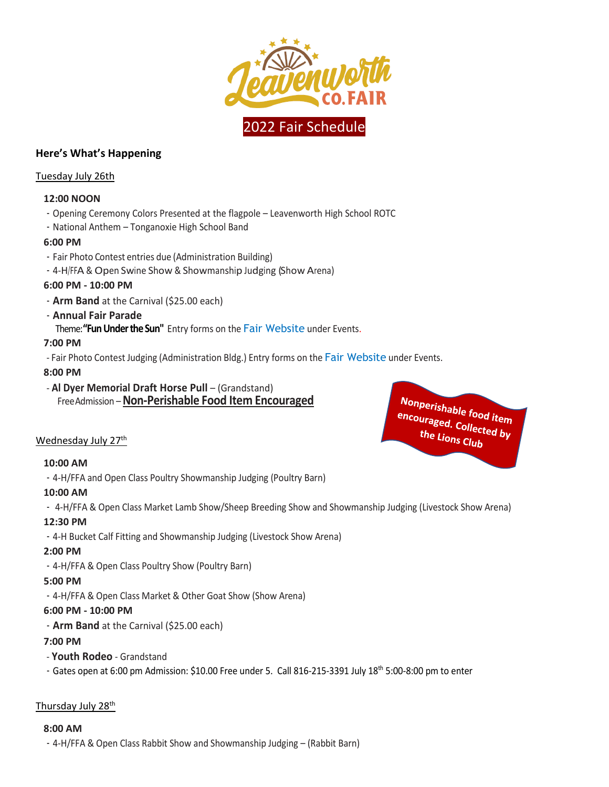

# **Here's What's Happening**

#### Tuesday July 26th

### **12:00 NOON**

- Opening Ceremony Colors Presented at the flagpole Leavenworth High School ROTC
- National Anthem Tonganoxie High School Band

### **6:00 PM**

- Fair Photo Contest entries due (Administration Building)
- 4-H/FFA & Open Swine Show & Showmanship Judging (Show Arena)

### **6:00 PM - 10:00 PM**

- **Arm Band** at the Carnival (\$25.00 each)
- **Annual Fair Parade**
	- Theme:**"Fun Under the Sun"** Entry forms on the [Fair Website](https://leavenworthcountyfair.com/events/) under Events.

### **7:00 PM**

- Fair Photo Contest Judging (Administration Bldg.) Entry forms on the [Fair Website](https://leavenworthcountyfair.com/events/) under Events.

### **8:00 PM**

- **Al Dyer Memorial Draft Horse Pull** – (Grandstand) FreeAdmission –**Non-Perishable Food Item Encouraged**

# Wednesday July 27<sup>th</sup>

#### **10:00 AM**

- 4-H/FFA and Open Class Poultry Showmanship Judging (Poultry Barn)

#### **10:00 AM**

- 4-H/FFA & Open Class Market Lamb Show/Sheep Breeding Show and Showmanship Judging (Livestock Show Arena)

# **12:30 PM**

- 4-H Bucket Calf Fitting and Showmanship Judging (Livestock Show Arena)

# **2:00 PM**

- 4-H/FFA & Open Class Poultry Show (Poultry Barn)

# **5:00 PM**

- 4-H/FFA & Open Class Market & Other Goat Show (Show Arena)

# **6:00 PM - 10:00 PM**

- **Arm Band** at the Carnival (\$25.00 each)

# **7:00 PM**

- **Youth Rodeo** Grandstand
- Gates open at 6:00 pm Admission: \$10.00 Free under 5. Call 816-215-3391 July 18<sup>th</sup> 5:00-8:00 pm to enter

# <u>Thursday July 28<sup>th</sup></u>

# **8:00 AM**

- 4-H/FFA & Open Class Rabbit Show and Showmanship Judging – (Rabbit Barn)

Nonperishable food item encouraged. Collected by the Lions Club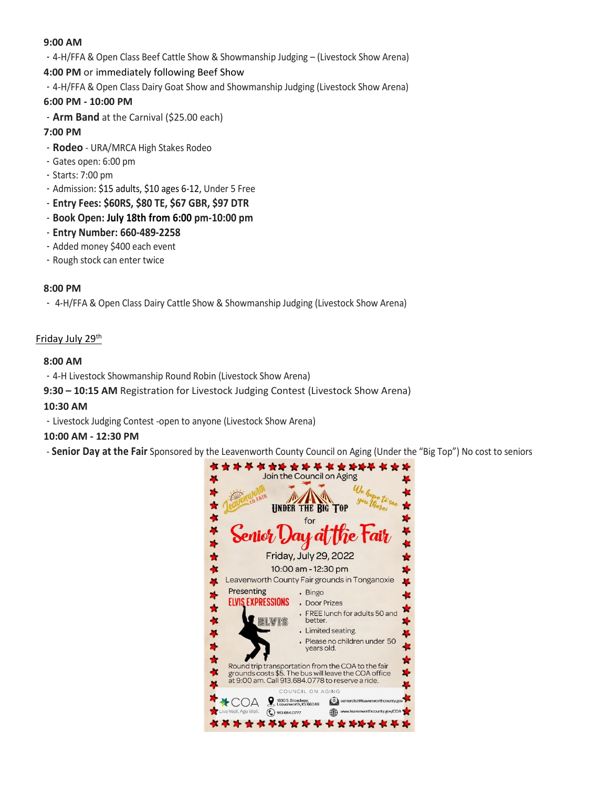### **9:00 AM**

- 4-H/FFA & Open Class Beef Cattle Show & Showmanship Judging – (Livestock Show Arena)

- **4:00 PM** or immediately following Beef Show
- 4-H/FFA & Open Class Dairy Goat Show and Showmanship Judging (Livestock Show Arena)

# **6:00 PM - 10:00 PM**

- **Arm Band** at the Carnival (\$25.00 each)
- **7:00 PM**
- **Rodeo** URA/MRCA High Stakes Rodeo
- Gates open: 6:00 pm
- Starts: 7:00 pm
- Admission: \$15 adults, \$10 ages 6-12, Under 5 Free
- **Entry Fees: \$60RS, \$80 TE, \$67 GBR, \$97 DTR**
- **Book Open: July 18th from 6:00 pm-10:00 pm**
- **Entry Number: 660-489-2258**
- Added money \$400 each event
- Rough stock can enter twice

### **8:00 PM**

- 4-H/FFA & Open Class Dairy Cattle Show & Showmanship Judging (Livestock Show Arena)

### **Friday July 29<sup>th</sup>**

### **8:00 AM**

- 4-H Livestock Showmanship Round Robin (Livestock Show Arena)
- **9:30 – 10:15 AM** Registration for Livestock Judging Contest (Livestock Show Arena)

# **10:30 AM**

- Livestock Judging Contest -open to anyone (Livestock Show Arena)

# **10:00 AM - 12:30 PM**

- **Senior Day at the Fair** Sponsored by the Leavenworth County Council on Aging (Under the "Big Top") No cost to seniors

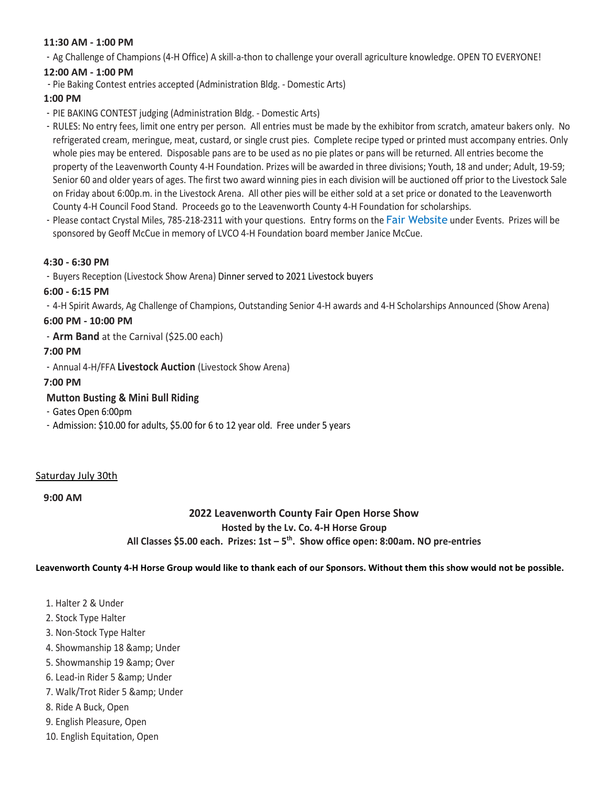#### **11:30 AM - 1:00 PM**

- Ag Challenge of Champions (4-H Office) A skill-a-thon to challenge your overall agriculture knowledge. OPEN TO EVERYONE!

### **12:00 AM - 1:00 PM**

- Pie Baking Contest entries accepted (Administration Bldg. - Domestic Arts)

### **1:00 PM**

- PIE BAKING CONTEST judging (Administration Bldg. Domestic Arts)
- RULES: No entry fees, limit one entry per person. All entries must be made by the exhibitor from scratch, amateur bakers only. No refrigerated cream, meringue, meat, custard, or single crust pies. Complete recipe typed or printed must accompany entries. Only whole pies may be entered. Disposable pans are to be used as no pie plates or pans will be returned. All entries become the property of the Leavenworth County 4-H Foundation. Prizes will be awarded in three divisions; Youth, 18 and under; Adult, 19-59; Senior 60 and older years of ages. The first two award winning pies in each division will be auctioned off prior to the Livestock Sale on Friday about 6:00p.m. in the Livestock Arena. All other pies will be either sold at a set price or donated to the Leavenworth County 4-H Council Food Stand. Proceeds go to the Leavenworth County 4-H Foundation for scholarships.
- Please contact Crystal Miles, 785-218-2311 with your questions. Entry forms on the [Fair Website](https://leavenworthcountyfair.com/events/) under Events. Prizes will be sponsored by Geoff McCue in memory of LVCO 4-H Foundation board member Janice McCue.

### **4:30 - 6:30 PM**

- Buyers Reception (Livestock Show Arena) Dinner served to 2021 Livestock buyers

#### **6:00 - 6:15 PM**

- 4-H Spirit Awards, Ag Challenge of Champions, Outstanding Senior 4-H awards and 4-H Scholarships Announced (Show Arena)

### **6:00 PM - 10:00 PM**

- **Arm Band** at the Carnival (\$25.00 each)

### **7:00 PM**

- Annual 4-H/FFA **Livestock Auction** (Livestock Show Arena)

#### **7:00 PM**

#### **Mutton Busting & Mini Bull Riding**

- Gates Open 6:00pm
- Admission: \$10.00 for adults, \$5.00 for 6 to 12 year old. Free under 5 years

#### Saturday July 30th

**9:00 AM**

# **2022 Leavenworth County Fair Open Horse Show Hosted by the Lv. Co. 4-H Horse Group All Classes \$5.00 each. Prizes: 1st – 5 th . Show office open: 8:00am. NO pre-entries**

#### **Leavenworth County 4-H Horse Group would like to thank each of our Sponsors. Without them this show would not be possible.**

- 1. Halter 2 & Under
- 2. Stock Type Halter
- 3. Non-Stock Type Halter
- 4. Showmanship 18 & amp; Under
- 5. Showmanship 19 & amp; Over
- 6. Lead-in Rider 5 & amp; Under
- 7. Walk/Trot Rider 5 & amp; Under
- 8. Ride A Buck, Open
- 9. English Pleasure, Open
- 10. English Equitation, Open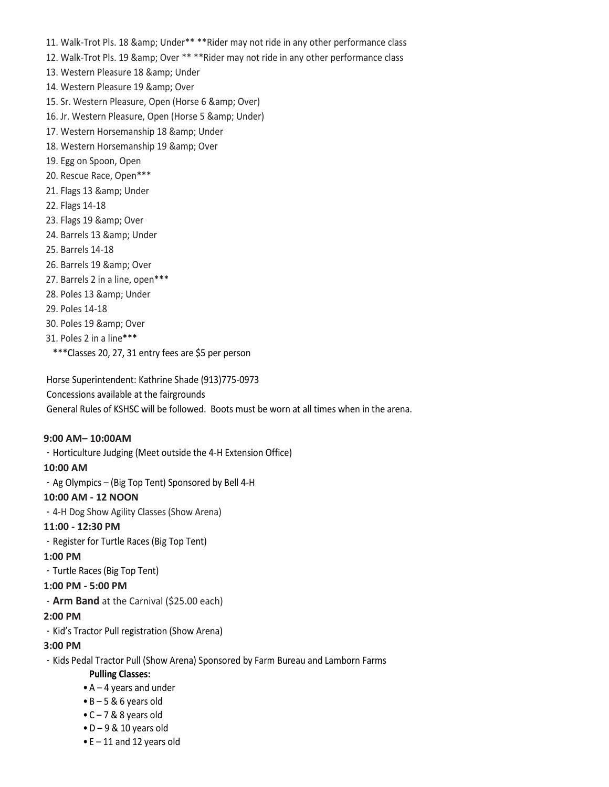- 11. Walk-Trot Pls. 18 & amp; Under\*\* \*\* Rider may not ride in any other performance class
- 12. Walk-Trot Pls. 19 & amp; Over \*\* \*\* Rider may not ride in any other performance class
- 13. Western Pleasure 18 & amp; Under
- 14. Western Pleasure 19 & amp; Over
- 15. Sr. Western Pleasure, Open (Horse 6 & amp; Over)
- 16. Jr. Western Pleasure, Open (Horse 5 & amp; Under)
- 17. Western Horsemanship 18 & amp; Under
- 18. Western Horsemanship 19 & amp; Over
- 19. Egg on Spoon, Open
- 20. Rescue Race, Open\*\*\*
- 21. Flags 13 & amp; Under
- 22. Flags 14-18
- 23. Flags 19 & amp; Over
- 24. Barrels 13 & amp; Under
- 25. Barrels 14-18
- 26. Barrels 19 & amp; Over
- 27. Barrels 2 in a line, open\*\*\*
- 28. Poles 13 & amp; Under
- 29. Poles 14-18
- 30. Poles 19 & amp; Over
- 31. Poles 2 in a line\*\*\*
	- \*\*\*Classes 20, 27, 31 entry fees are \$5 per person

Horse Superintendent: Kathrine Shade (913)775-0973

Concessions available at the fairgrounds

General Rules of KSHSC will be followed. Boots must be worn at all times when in the arena.

#### **9:00 AM– 10:00AM**

- Horticulture Judging (Meet outside the 4-H Extension Office)

#### **10:00 AM**

- Ag Olympics – (Big Top Tent) Sponsored by Bell 4-H

#### **10:00 AM - 12 NOON**

- 4-H Dog Show Agility Classes (Show Arena)

#### **11:00 - 12:30 PM**

- Register for Turtle Races (Big Top Tent)

#### **1:00 PM**

- Turtle Races (Big Top Tent)

#### **1:00 PM - 5:00 PM**

- **Arm Band** at the Carnival (\$25.00 each)

#### **2:00 PM**

- Kid's Tractor Pull registration (Show Arena)

#### **3:00 PM**

- Kids Pedal Tractor Pull (Show Arena) Sponsored by Farm Bureau and Lamborn Farms

#### **Pulling Classes:**

- $\bullet$  A 4 years and under
- B 5 & 6 years old
- C 7 & 8 years old
- $\bullet$  D 9 & 10 years old
- E 11 and 12 years old